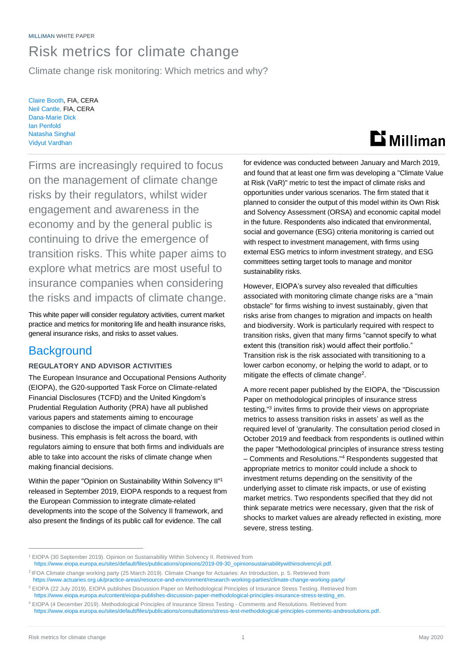# Risk metrics for climate change

Climate change risk monitoring: Which metrics and why?

Claire Booth, FIA, CERA Neil Cantle, FIA, CERA Dana-Marie Dick Ian Penfold Natasha Singhal Vidyut Vardhan



Firms are increasingly required to focus on the management of climate change risks by their regulators, whilst wider engagement and awareness in the economy and by the general public is continuing to drive the emergence of transition risks. This white paper aims to explore what metrics are most useful to insurance companies when considering the risks and impacts of climate change.

This white paper will consider regulatory activities, current market practice and metrics for monitoring life and health insurance risks, general insurance risks, and risks to asset values.

## **Background**

## **REGULATORY AND ADVISOR ACTIVITIES**

The European Insurance and Occupational Pensions Authority (EIOPA), the G20-supported Task Force on Climate-related Financial Disclosures (TCFD) and the United Kingdom's Prudential Regulation Authority (PRA) have all published various papers and statements aiming to encourage companies to disclose the impact of climate change on their business. This emphasis is felt across the board, with regulators aiming to ensure that both firms and individuals are able to take into account the risks of climate change when making financial decisions.

Within the paper "Opinion on Sustainability Within Solvency II"<sup>1</sup> released in September 2019, EIOPA responds to a request from the European Commission to integrate climate-related developments into the scope of the Solvency II framework, and also present the findings of its public call for evidence. The call

for evidence was conducted between January and March 2019, and found that at least one firm was developing a "Climate Value at Risk (VaR)" metric to test the impact of climate risks and opportunities under various scenarios. The firm stated that it planned to consider the output of this model within its Own Risk and Solvency Assessment (ORSA) and economic capital model in the future. Respondents also indicated that environmental, social and governance (ESG) criteria monitoring is carried out with respect to investment management, with firms using external ESG metrics to inform investment strategy, and ESG committees setting target tools to manage and monitor sustainability risks.

However, EIOPA's survey also revealed that difficulties associated with monitoring climate change risks are a "main obstacle" for firms wishing to invest sustainably, given that risks arise from changes to migration and impacts on health and biodiversity. Work is particularly required with respect to transition risks, given that many firms "cannot specify to what extent this (transition risk) would affect their portfolio." Transition risk is the risk associated with transitioning to a lower carbon economy, or helping the world to adapt, or to mitigate the effects of climate change<sup>2</sup>.

A more recent paper published by the EIOPA, the "Discussion Paper on methodological principles of insurance stress testing," 3 invites firms to provide their views on appropriate metrics to assess transition risks in assets' as well as the required level of 'granularity. The consultation period closed in October 2019 and feedback from respondents is outlined within the paper "Methodological principles of insurance stress testing – Comments and Resolutions." <sup>4</sup> Respondents suggested that appropriate metrics to monitor could include a shock to investment returns depending on the sensitivity of the underlying asset to climate risk impacts, or use of existing market metrics. Two respondents specified that they did not think separate metrics were necessary, given that the risk of shocks to market values are already reflected in existing, more severe, stress testing.

<sup>1</sup> EIOPA (30 September 2019). Opinion on Sustainability Within Solvency II. Retrieved from

[https://www.eiopa.europa.eu/sites/default/files/publications/opinions/2019-09-30\\_opinionsustainabilitywithinsolvencyii.pdf.](https://www.eiopa.europa.eu/sites/default/files/publications/opinions/2019-09-30_opinionsustainabilitywithinsolvencyii.pdf)

<sup>2</sup> IFOA Climate change working party (25 March 2019). Climate Change for Actuaries: An Introduction, p. 5. Retrieved from <https://www.actuaries.org.uk/practice-areas/resource-and-environment/research-working-parties/climate-change-working-party/>

<sup>&</sup>lt;sup>3</sup> EIOPA (22 July 2019). EIOPA publishes Discussion Paper on Methodological Principles of Insurance Stress Testing. Retrieved from

[https://www.eiopa.europa.eu/content/eiopa-publishes-discussion-paper-methodological-principles-insurance-stress-testing\\_en.](https://www.eiopa.europa.eu/content/eiopa-publishes-discussion-paper-methodological-principles-insurance-stress-testing_en) <sup>4</sup> EIOPA (4 December 2019). Methodological Principles of Insurance Stress Testing - Comments and Resolutions. Retrieved from

[https://www.eiopa.europa.eu/sites/default/files/publications/consultations/stress-test-methodological-principles-comments-andresolutions.pdf.](https://www.eiopa.europa.eu/sites/default/files/publications/consultations/stress-test-methodological-principles-comments-andresolutions.pdf)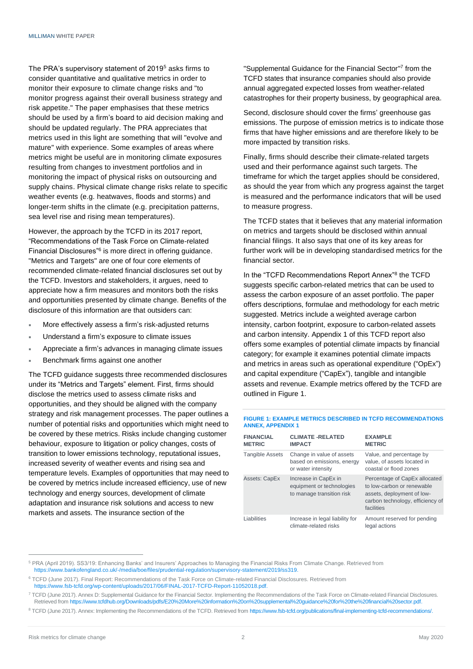The PRA's supervisory statement of 2019<sup>5</sup> asks firms to consider quantitative and qualitative metrics in order to monitor their exposure to climate change risks and "to monitor progress against their overall business strategy and risk appetite." The paper emphasises that these metrics should be used by a firm's board to aid decision making and should be updated regularly. The PRA appreciates that metrics used in this light are something that will "evolve and mature" with experience. Some examples of areas where metrics might be useful are in monitoring climate exposures resulting from changes to investment portfolios and in monitoring the impact of physical risks on outsourcing and supply chains. Physical climate change risks relate to specific weather events (e.g. heatwaves, floods and storms) and longer-term shifts in the climate (e.g. precipitation patterns, sea level rise and rising mean temperatures).

However, the approach by the TCFD in its 2017 report, "Recommendations of the Task Force on Climate-related Financial Disclosures<sup>"6</sup> is more direct in offering guidance. "Metrics and Targets" are one of four core elements of recommended climate-related financial disclosures set out by the TCFD. Investors and stakeholders, it argues, need to appreciate how a firm measures and monitors both the risks and opportunities presented by climate change. Benefits of the disclosure of this information are that outsiders can:

- More effectively assess a firm's risk-adjusted returns
- Understand a firm's exposure to climate issues
- Appreciate a firm's advances in managing climate issues
- Benchmark firms against one another

The TCFD guidance suggests three recommended disclosures under its "Metrics and Targets" element. First, firms should disclose the metrics used to assess climate risks and opportunities, and they should be aligned with the company strategy and risk management processes. The paper outlines a number of potential risks and opportunities which might need to be covered by these metrics. Risks include changing customer behaviour, exposure to litigation or policy changes, costs of transition to lower emissions technology, reputational issues, increased severity of weather events and rising sea and temperature levels. Examples of opportunities that may need to be covered by metrics include increased efficiency, use of new technology and energy sources, development of climate adaptation and insurance risk solutions and access to new markets and assets. The insurance section of the

"Supplemental Guidance for the Financial Sector" 7 from the TCFD states that insurance companies should also provide annual aggregated expected losses from weather-related catastrophes for their property business, by geographical area.

Second, disclosure should cover the firms' greenhouse gas emissions. The purpose of emission metrics is to indicate those firms that have higher emissions and are therefore likely to be more impacted by transition risks.

Finally, firms should describe their climate-related targets used and their performance against such targets. The timeframe for which the target applies should be considered, as should the year from which any progress against the target is measured and the performance indicators that will be used to measure progress.

The TCFD states that it believes that any material information on metrics and targets should be disclosed within annual financial filings. It also says that one of its key areas for further work will be in developing standardised metrics for the financial sector.

In the "TCFD Recommendations Report Annex"<sup>8</sup> the TCFD suggests specific carbon-related metrics that can be used to assess the carbon exposure of an asset portfolio. The paper offers descriptions, formulae and methodology for each metric suggested. Metrics include a weighted average carbon intensity, carbon footprint, exposure to carbon-related assets and carbon intensity. Appendix 1 of this TCFD report also offers some examples of potential climate impacts by financial category; for example it examines potential climate impacts and metrics in areas such as operational expenditure ("OpEx") and capital expenditure ("CapEx"), tangible and intangible assets and revenue. Example metrics offered by the TCFD are outlined in Figure 1.

#### **FIGURE 1: EXAMPLE METRICS DESCRIBED IN TCFD RECOMMENDATIONS ANNEX, APPENDIX 1**

| <b>FINANCIAL</b><br><b>METRIC</b> | <b>CLIMATE -RELATED</b><br><b>IMPACT</b>                                       | <b>EXAMPLE</b><br><b>METRIC</b>                                                                                                             |
|-----------------------------------|--------------------------------------------------------------------------------|---------------------------------------------------------------------------------------------------------------------------------------------|
| <b>Tangible Assets</b>            | Change in value of assets<br>based on emissions, energy<br>or water intensity  | Value, and percentage by<br>value, of assets located in<br>coastal or flood zones                                                           |
| <b>Assets: CapEx</b>              | Increase in CapEx in<br>equipment or technologies<br>to manage transition risk | Percentage of CapEx allocated<br>to low-carbon or renewable<br>assets, deployment of low-<br>carbon technology, efficiency of<br>facilities |
| Liabilities                       | Increase in legal liability for<br>climate-related risks                       | Amount reserved for pending<br>legal actions                                                                                                |

<sup>5</sup> PRA (April 2019). SS3/19: Enhancing Banks' and Insurers' Approaches to Managing the Financial Risks From Climate Change. Retrieved from [https://www.bankofengland.co.uk/-/media/boe/files/prudential-regulation/supervisory-statement/2019/ss319.](https://www.bankofengland.co.uk/-/media/boe/files/prudential-regulation/supervisory-statement/2019/ss319)

<sup>6</sup> TCFD (June 2017). Final Report: Recommendations of the Task Force on Climate-related Financial Disclosures. Retrieved from [https://www.fsb-tcfd.org/wp-content/uploads/2017/06/FINAL-2017-TCFD-Report-11052018.pdf.](https://www.fsb-tcfd.org/wp-content/uploads/2017/06/FINAL-2017-TCFD-Report-11052018.pdf)

<sup>7</sup> TCFD (June 2017). Annex D: Supplemental Guidance for the Financial Sector. Implementing the Recommendations of the Task Force on Climate-related Financial Disclosures. Retrieved fro[m https://www.tcfdhub.org/Downloads/pdfs/E20%20More%20information%20on%20supplemental%20guidance%20for%20the%20financial%20sector.pdf.](https://www.tcfdhub.org/Downloads/pdfs/E20%20More%20information%20on%20supplemental%20guidance%20for%20the%20financial%20sector.pdf)

<sup>8</sup> TCFD (June 2017). Annex: Implementing the Recommendations of the TCFD. Retrieved fro[m https://www.fsb-tcfd.org/publications/final-implementing-tcfd-recommendations/.](https://www.fsb-tcfd.org/publications/final-implementing-tcfd-recommendations/)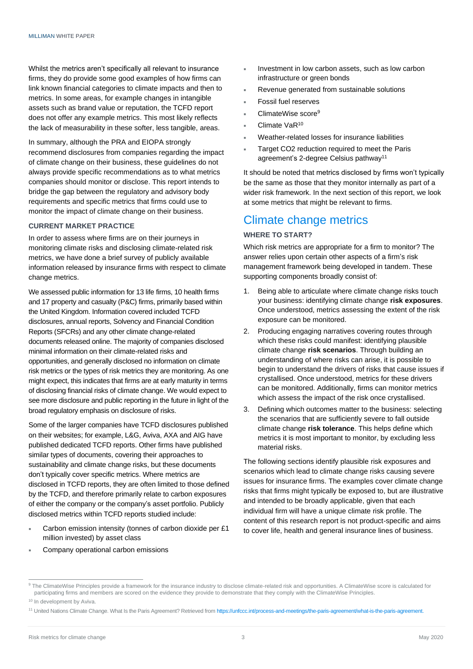Whilst the metrics aren't specifically all relevant to insurance firms, they do provide some good examples of how firms can link known financial categories to climate impacts and then to metrics. In some areas, for example changes in intangible assets such as brand value or reputation, the TCFD report does not offer any example metrics. This most likely reflects the lack of measurability in these softer, less tangible, areas.

## In summary, although the PRA and EIOPA strongly recommend disclosures from companies regarding the impact of climate change on their business, these guidelines do not always provide specific recommendations as to what metrics companies should monitor or disclose. This report intends to bridge the gap between the regulatory and advisory body requirements and specific metrics that firms could use to monitor the impact of climate change on their business.

## **CURRENT MARKET PRACTICE**

In order to assess where firms are on their journeys in monitoring climate risks and disclosing climate-related risk metrics, we have done a brief survey of publicly available information released by insurance firms with respect to climate change metrics.

We assessed public information for 13 life firms, 10 health firms and 17 property and casualty (P&C) firms, primarily based within the United Kingdom. Information covered included TCFD disclosures, annual reports, Solvency and Financial Condition Reports (SFCRs) and any other climate change-related documents released online. The majority of companies disclosed minimal information on their climate-related risks and opportunities, and generally disclosed no information on climate risk metrics or the types of risk metrics they are monitoring. As one might expect, this indicates that firms are at early maturity in terms of disclosing financial risks of climate change. We would expect to see more disclosure and public reporting in the future in light of the broad regulatory emphasis on disclosure of risks.

Some of the larger companies have TCFD disclosures published on their websites; for example, L&G, Aviva, AXA and AIG have published dedicated TCFD reports. Other firms have published similar types of documents, covering their approaches to sustainability and climate change risks, but these documents don't typically cover specific metrics. Where metrics are disclosed in TCFD reports, they are often limited to those defined by the TCFD, and therefore primarily relate to carbon exposures of either the company or the company's asset portfolio. Publicly disclosed metrics within TCFD reports studied include:

- Carbon emission intensity (tonnes of carbon dioxide per £1 million invested) by asset class
- Company operational carbon emissions
- Investment in low carbon assets, such as low carbon infrastructure or green bonds
- Revenue generated from sustainable solutions
- Fossil fuel reserves
- ClimateWise score<sup>9</sup>
- Climate VaR<sup>10</sup>
- Weather-related losses for insurance liabilities
- Target CO2 reduction required to meet the Paris agreement's 2-degree Celsius pathway<sup>11</sup>

It should be noted that metrics disclosed by firms won't typically be the same as those that they monitor internally as part of a wider risk framework. In the next section of this report, we look at some metrics that might be relevant to firms.

## Climate change metrics

## **WHERE TO START?**

Which risk metrics are appropriate for a firm to monitor? The answer relies upon certain other aspects of a firm's risk management framework being developed in tandem. These supporting components broadly consist of:

- 1. Being able to articulate where climate change risks touch your business: identifying climate change **risk exposures**. Once understood, metrics assessing the extent of the risk exposure can be monitored.
- 2. Producing engaging narratives covering routes through which these risks could manifest: identifying plausible climate change **risk scenarios**. Through building an understanding of where risks can arise, it is possible to begin to understand the drivers of risks that cause issues if crystallised. Once understood, metrics for these drivers can be monitored. Additionally, firms can monitor metrics which assess the impact of the risk once crystallised.
- 3. Defining which outcomes matter to the business: selecting the scenarios that are sufficiently severe to fall outside climate change **risk tolerance**. This helps define which metrics it is most important to monitor, by excluding less material risks.

The following sections identify plausible risk exposures and scenarios which lead to climate change risks causing severe issues for insurance firms. The examples cover climate change risks that firms might typically be exposed to, but are illustrative and intended to be broadly applicable, given that each individual firm will have a unique climate risk profile. The content of this research report is not product-specific and aims to cover life, health and general insurance lines of business.

<sup>9</sup> The ClimateWise Principles provide a framework for the insurance industry to disclose climate-related risk and opportunities. A ClimateWise score is calculated for participating firms and members are scored on the evidence they provide to demonstrate that they comply with the ClimateWise Principles. <sup>10</sup> In development by Aviva.

<sup>11</sup> United Nations Climate Change. What Is the Paris Agreement? Retrieved fro[m https://unfccc.int/process-and-meetings/the-paris-agreement/what-is-the-paris-agreement.](https://unfccc.int/process-and-meetings/the-paris-agreement/what-is-the-paris-agreement)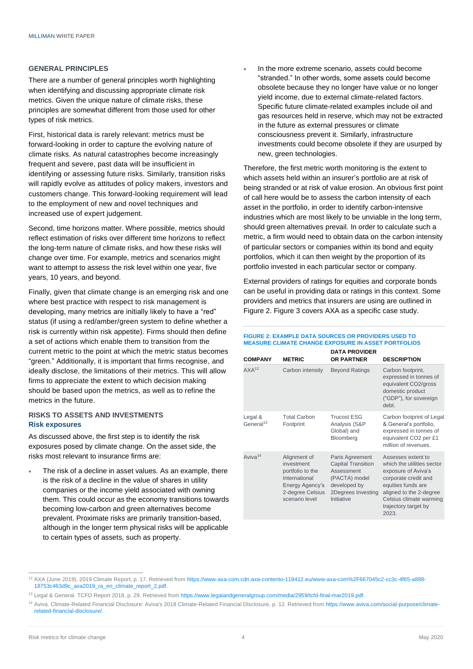#### **GENERAL PRINCIPLES**

There are a number of general principles worth highlighting when identifying and discussing appropriate climate risk metrics. Given the unique nature of climate risks, these principles are somewhat different from those used for other types of risk metrics.

First, historical data is rarely relevant: metrics must be forward-looking in order to capture the evolving nature of climate risks. As natural catastrophes become increasingly frequent and severe, past data will be insufficient in identifying or assessing future risks. Similarly, transition risks will rapidly evolve as attitudes of policy makers, investors and customers change. This forward-looking requirement will lead to the employment of new and novel techniques and increased use of expert judgement.

Second, time horizons matter. Where possible, metrics should reflect estimation of risks over different time horizons to reflect the long-term nature of climate risks, and how these risks will change over time. For example, metrics and scenarios might want to attempt to assess the risk level within one year, five years, 10 years, and beyond.

Finally, given that climate change is an emerging risk and one where best practice with respect to risk management is developing, many metrics are initially likely to have a "red" status (if using a red/amber/green system to define whether a risk is currently within risk appetite). Firms should then define a set of actions which enable them to transition from the current metric to the point at which the metric status becomes "green." Additionally, it is important that firms recognise, and ideally disclose, the limitations of their metrics. This will allow firms to appreciate the extent to which decision making should be based upon the metrics, as well as to refine the metrics in the future.

### **RISKS TO ASSETS AND INVESTMENTS Risk exposures**

As discussed above, the first step is to identify the risk exposures posed by climate change. On the asset side, the risks most relevant to insurance firms are:

 The risk of a decline in asset values. As an example, there is the risk of a decline in the value of shares in utility companies or the income yield associated with owning them. This could occur as the economy transitions towards becoming low-carbon and green alternatives become prevalent. Proximate risks are primarily transition-based, although in the longer term physical risks will be applicable to certain types of assets, such as property.

 In the more extreme scenario, assets could become "stranded." In other words, some assets could become obsolete because they no longer have value or no longer yield income, due to external climate-related factors. Specific future climate-related examples include oil and gas resources held in reserve, which may not be extracted in the future as external pressures or climate consciousness prevent it. Similarly, infrastructure investments could become obsolete if they are usurped by new, green technologies.

Therefore, the first metric worth monitoring is the extent to which assets held within an insurer's portfolio are at risk of being stranded or at risk of value erosion. An obvious first point of call here would be to assess the carbon intensity of each asset in the portfolio, in order to identify carbon-intensive industries which are most likely to be unviable in the long term, should green alternatives prevail. In order to calculate such a metric, a firm would need to obtain data on the carbon intensity of particular sectors or companies within its bond and equity portfolios, which it can then weight by the proportion of its portfolio invested in each particular sector or company.

External providers of ratings for equities and corporate bonds can be useful in providing data or ratings in this context. Some providers and metrics that insurers are using are outlined in Figure 2. Figure 3 covers AXA as a specific case study.

#### **FIGURE 2: EXAMPLE DATA SOURCES OR PROVIDERS USED TO MEASURE CLIMATE CHANGE EXPOSURE IN ASSET PORTFOLIOS**

| <b>COMPANY</b>                   | <b>METRIC</b>                                                                                                            | <b>DATA PROVIDER</b><br><b>OR PARTNER</b>                                                                                       | <b>DESCRIPTION</b>                                                                                                                                                                                           |
|----------------------------------|--------------------------------------------------------------------------------------------------------------------------|---------------------------------------------------------------------------------------------------------------------------------|--------------------------------------------------------------------------------------------------------------------------------------------------------------------------------------------------------------|
| AXA <sup>12</sup>                | Carbon intensity                                                                                                         | <b>Beyond Ratings</b>                                                                                                           | Carbon footprint,<br>expressed in tonnes of<br>equivalent CO2/gross<br>domestic product<br>("GDP"), for sovereign<br>debt.                                                                                   |
| Legal &<br>General <sup>13</sup> | <b>Total Carbon</b><br>Footprint                                                                                         | <b>Trucost ESG</b><br>Analysis (S&P<br>Global) and<br>Bloomberg                                                                 | Carbon footprint of Legal<br>& General's portfolio,<br>expressed in tonnes of<br>equivalent CO2 per £1<br>million of revenues.                                                                               |
| Aviva <sup>14</sup>              | Alignment of<br>investment<br>portfolio to the<br>International<br>Energy Agency's<br>2-degree Celsius<br>scenario level | Paris Agreement<br><b>Capital Transition</b><br>Assessment<br>(PACTA) model<br>developed by<br>2Degrees Investing<br>Initiative | Assesses extent to<br>which the utilities sector<br>exposure of Aviva's<br>corporate credit and<br>equities funds are<br>aligned to the 2-degree<br>Celsius climate warming<br>trajectory target by<br>2023. |

<sup>12</sup> AXA (June 2019). 2019 Climate Report, p. 17. Retrieved fro[m https://www-axa-com.cdn.axa-contento-118412.eu/www-axa-com%2F667045c2-cc3c-4f65-a888-](https://www-axa-com.cdn.axa-contento-118412.eu/www-axa-com%2F667045c2-cc3c-4f65-a888-18753c463d9c_axa2019_ra_en_climate_report_2.pdf) [18753c463d9c\\_axa2019\\_ra\\_en\\_climate\\_report\\_2.pdf.](https://www-axa-com.cdn.axa-contento-118412.eu/www-axa-com%2F667045c2-cc3c-4f65-a888-18753c463d9c_axa2019_ra_en_climate_report_2.pdf)

<sup>13</sup> Legal & General. TCFD Report 2018, p. 29. Retrieved from [https://www.legalandgeneralgroup.com/media/2959/tcfd-final-mar2019.pdf.](https://www.legalandgeneralgroup.com/media/2959/tcfd-final-mar2019.pdf)

<sup>&</sup>lt;sup>14</sup> Aviva. Climate-Related Financial Disclosure: Aviva's 2018 Climate-Related Financial Disclosure, p. 12. Retrieved fro[m https://www.aviva.com/social-purpose/climate](https://www.aviva.com/social-purpose/climate-related-financial-disclosure/)[related-financial-disclosure/.](https://www.aviva.com/social-purpose/climate-related-financial-disclosure/)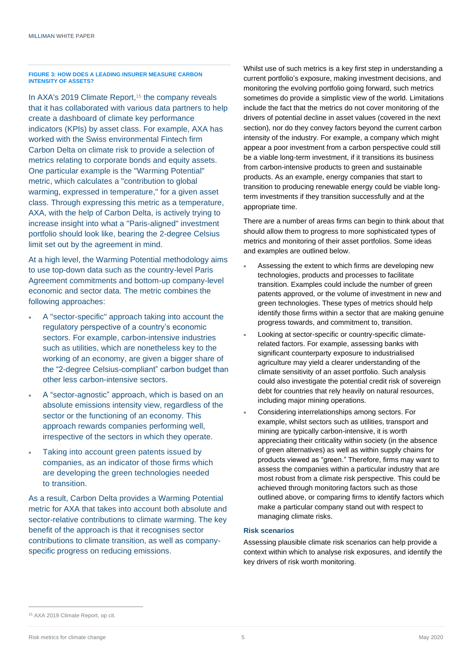#### **FIGURE 3: HOW DOES A LEADING INSURER MEASURE CARBON INTENSITY OF ASSETS?**

In AXA's 2019 Climate Report, <sup>15</sup> the company reveals that it has collaborated with various data partners to help create a dashboard of climate key performance indicators (KPIs) by asset class. For example, AXA has worked with the Swiss environmental Fintech firm Carbon Delta on climate risk to provide a selection of metrics relating to corporate bonds and equity assets. One particular example is the "Warming Potential" metric, which calculates a "contribution to global warming, expressed in temperature," for a given asset class. Through expressing this metric as a temperature, AXA, with the help of Carbon Delta, is actively trying to increase insight into what a "Paris-aligned" investment portfolio should look like, bearing the 2-degree Celsius limit set out by the agreement in mind.

At a high level, the Warming Potential methodology aims to use top-down data such as the country-level Paris Agreement commitments and bottom-up company-level economic and sector data. The metric combines the following approaches:

- A "sector-specific" approach taking into account the regulatory perspective of a country's economic sectors. For example, carbon-intensive industries such as utilities, which are nonetheless key to the working of an economy, are given a bigger share of the "2-degree Celsius-compliant" carbon budget than other less carbon-intensive sectors.
- A "sector-agnostic" approach, which is based on an absolute emissions intensity view, regardless of the sector or the functioning of an economy. This approach rewards companies performing well, irrespective of the sectors in which they operate.
- Taking into account green patents issued by companies, as an indicator of those firms which are developing the green technologies needed to transition.

As a result, Carbon Delta provides a Warming Potential metric for AXA that takes into account both absolute and sector-relative contributions to climate warming. The key benefit of the approach is that it recognises sector contributions to climate transition, as well as companyspecific progress on reducing emissions.

Whilst use of such metrics is a key first step in understanding a current portfolio's exposure, making investment decisions, and monitoring the evolving portfolio going forward, such metrics sometimes do provide a simplistic view of the world. Limitations include the fact that the metrics do not cover monitoring of the drivers of potential decline in asset values (covered in the next section), nor do they convey factors beyond the current carbon intensity of the industry. For example, a company which might appear a poor investment from a carbon perspective could still be a viable long-term investment, if it transitions its business from carbon-intensive products to green and sustainable products. As an example, energy companies that start to transition to producing renewable energy could be viable longterm investments if they transition successfully and at the appropriate time.

There are a number of areas firms can begin to think about that should allow them to progress to more sophisticated types of metrics and monitoring of their asset portfolios. Some ideas and examples are outlined below.

- Assessing the extent to which firms are developing new technologies, products and processes to facilitate transition. Examples could include the number of green patents approved, or the volume of investment in new and green technologies. These types of metrics should help identify those firms within a sector that are making genuine progress towards, and commitment to, transition.
- Looking at sector-specific or country-specific climaterelated factors. For example, assessing banks with significant counterparty exposure to industrialised agriculture may yield a clearer understanding of the climate sensitivity of an asset portfolio. Such analysis could also investigate the potential credit risk of sovereign debt for countries that rely heavily on natural resources, including major mining operations.
- Considering interrelationships among sectors. For example, whilst sectors such as utilities, transport and mining are typically carbon-intensive, it is worth appreciating their criticality within society (in the absence of green alternatives) as well as within supply chains for products viewed as "green." Therefore, firms may want to assess the companies within a particular industry that are most robust from a climate risk perspective. This could be achieved through monitoring factors such as those outlined above, or comparing firms to identify factors which make a particular company stand out with respect to managing climate risks.

#### **Risk scenarios**

Assessing plausible climate risk scenarios can help provide a context within which to analyse risk exposures, and identify the key drivers of risk worth monitoring.

<sup>15</sup> AXA 2019 Climate Report, op cit.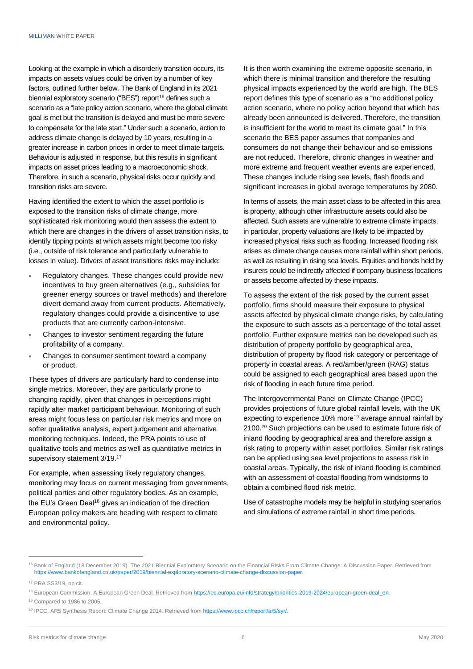Looking at the example in which a disorderly transition occurs, its impacts on assets values could be driven by a number of key factors, outlined further below. The Bank of England in its 2021 biennial exploratory scenario ("BES") report<sup>16</sup> defines such a scenario as a "late policy action scenario, where the global climate goal is met but the transition is delayed and must be more severe to compensate for the late start." Under such a scenario, action to address climate change is delayed by 10 years, resulting in a greater increase in carbon prices in order to meet climate targets. Behaviour is adjusted in response, but this results in significant impacts on asset prices leading to a macroeconomic shock. Therefore, in such a scenario, physical risks occur quickly and transition risks are severe.

Having identified the extent to which the asset portfolio is exposed to the transition risks of climate change, more sophisticated risk monitoring would then assess the extent to which there are changes in the drivers of asset transition risks, to identify tipping points at which assets might become too risky (i.e., outside of risk tolerance and particularly vulnerable to losses in value). Drivers of asset transitions risks may include:

- Regulatory changes. These changes could provide new incentives to buy green alternatives (e.g., subsidies for greener energy sources or travel methods) and therefore divert demand away from current products. Alternatively, regulatory changes could provide a disincentive to use products that are currently carbon-intensive.
- Changes to investor sentiment regarding the future profitability of a company.
- Changes to consumer sentiment toward a company or product.

These types of drivers are particularly hard to condense into single metrics. Moreover, they are particularly prone to changing rapidly, given that changes in perceptions might rapidly alter market participant behaviour. Monitoring of such areas might focus less on particular risk metrics and more on softer qualitative analysis, expert judgement and alternative monitoring techniques. Indeed, the PRA points to use of qualitative tools and metrics as well as quantitative metrics in supervisory statement 3/19.<sup>17</sup>

For example, when assessing likely regulatory changes, monitoring may focus on current messaging from governments, political parties and other regulatory bodies. As an example, the EU's Green Deal<sup>18</sup> gives an indication of the direction European policy makers are heading with respect to climate and environmental policy.

It is then worth examining the extreme opposite scenario, in which there is minimal transition and therefore the resulting physical impacts experienced by the world are high. The BES report defines this type of scenario as a "no additional policy action scenario, where no policy action beyond that which has already been announced is delivered. Therefore, the transition is insufficient for the world to meet its climate goal." In this scenario the BES paper assumes that companies and consumers do not change their behaviour and so emissions are not reduced. Therefore, chronic changes in weather and more extreme and frequent weather events are experienced. These changes include rising sea levels, flash floods and significant increases in global average temperatures by 2080.

In terms of assets, the main asset class to be affected in this area is property, although other infrastructure assets could also be affected. Such assets are vulnerable to extreme climate impacts; in particular, property valuations are likely to be impacted by increased physical risks such as flooding. Increased flooding risk arises as climate change causes more rainfall within short periods, as well as resulting in rising sea levels. Equities and bonds held by insurers could be indirectly affected if company business locations or assets become affected by these impacts.

To assess the extent of the risk posed by the current asset portfolio, firms should measure their exposure to physical assets affected by physical climate change risks, by calculating the exposure to such assets as a percentage of the total asset portfolio. Further exposure metrics can be developed such as distribution of property portfolio by geographical area, distribution of property by flood risk category or percentage of property in coastal areas. A red/amber/green (RAG) status could be assigned to each geographical area based upon the risk of flooding in each future time period.

The Intergovernmental Panel on Climate Change (IPCC) provides projections of future global rainfall levels, with the UK expecting to experience 10% more<sup>19</sup> average annual rainfall by 2100. <sup>20</sup> Such projections can be used to estimate future risk of inland flooding by geographical area and therefore assign a risk rating to property within asset portfolios. Similar risk ratings can be applied using sea level projections to assess risk in coastal areas. Typically, the risk of inland flooding is combined with an assessment of coastal flooding from windstorms to obtain a combined flood risk metric.

Use of catastrophe models may be helpful in studying scenarios and simulations of extreme rainfall in short time periods.

<sup>&</sup>lt;sup>16</sup> Bank of England (18 December 2019). The 2021 Biennial Exploratory Scenario on the Financial Risks From Climate Change: A Discussion Paper. Retrieved from [https://www.bankofengland.co.uk/paper/2019/biennial-exploratory-scenario-climate-change-discussion-paper.](https://www.bankofengland.co.uk/paper/2019/biennial-exploratory-scenario-climate-change-discussion-paper)

<sup>17</sup> PRA SS3/19, op cit.

<sup>18</sup> European Commission. A European Green Deal. Retrieved from [https://ec.europa.eu/info/strategy/priorities-2019-2024/european-green-deal\\_en.](https://ec.europa.eu/info/strategy/priorities-2019-2024/european-green-deal_en)

<sup>19</sup> Compared to 1986 to 2005.

<sup>&</sup>lt;sup>20</sup> IPCC. AR5 Synthesis Report: Climate Change 2014. Retrieved from [https://www.ipcc.ch/report/ar5/syr/.](https://www.ipcc.ch/report/ar5/syr/)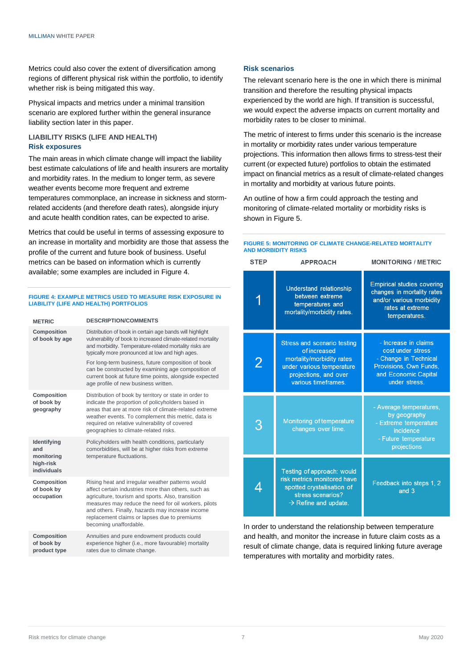Metrics could also cover the extent of diversification among regions of different physical risk within the portfolio, to identify whether risk is being mitigated this way.

Physical impacts and metrics under a minimal transition scenario are explored further within the general insurance liability section later in this paper.

## **LIABILITY RISKS (LIFE AND HEALTH) Risk exposures**

The main areas in which climate change will impact the liability best estimate calculations of life and health insurers are mortality and morbidity rates. In the medium to longer term, as severe weather events become more frequent and extreme temperatures commonplace, an increase in sickness and stormrelated accidents (and therefore death rates), alongside injury and acute health condition rates, can be expected to arise.

Metrics that could be useful in terms of assessing exposure to an increase in mortality and morbidity are those that assess the profile of the current and future book of business. Useful metrics can be based on information which is currently available; some examples are included in Figure 4.

#### **FIGURE 4: EXAMPLE METRICS USED TO MEASURE RISK EXPOSURE IN LIABILITY (LIFE AND HEALTH) PORTFOLIOS**

| <b>METRIC</b>                                                | <b>DESCRIPTION/COMMENTS</b>                                                                                                                                                                                                                                                                                                                                                                                                                         |
|--------------------------------------------------------------|-----------------------------------------------------------------------------------------------------------------------------------------------------------------------------------------------------------------------------------------------------------------------------------------------------------------------------------------------------------------------------------------------------------------------------------------------------|
| <b>Composition</b><br>of book by age                         | Distribution of book in certain age bands will highlight<br>vulnerability of book to increased climate-related mortality<br>and morbidity. Temperature-related mortality risks are<br>typically more pronounced at low and high ages.<br>For long-term business, future composition of book<br>can be constructed by examining age composition of<br>current book at future time points, alongside expected<br>age profile of new business written. |
| Composition<br>of book by<br>geography                       | Distribution of book by territory or state in order to<br>indicate the proportion of policyholders based in<br>areas that are at more risk of climate-related extreme<br>weather events. To complement this metric, data is<br>required on relative vulnerability of covered<br>geographies to climate-related risks.                                                                                                                               |
| Identifying<br>and<br>monitoring<br>high-risk<br>individuals | Policyholders with health conditions, particularly<br>comorbidities, will be at higher risks from extreme<br>temperature fluctuations.                                                                                                                                                                                                                                                                                                              |
| Composition<br>of book by<br>occupation                      | Rising heat and irregular weather patterns would<br>affect certain industries more than others, such as<br>agriculture, tourism and sports. Also, transition<br>measures may reduce the need for oil workers, pilots<br>and others. Finally, hazards may increase income<br>replacement claims or lapses due to premiums<br>becoming unaffordable.                                                                                                  |
| <b>Composition</b><br>of book by<br>product type             | Annuities and pure endowment products could<br>experience higher (i.e., more favourable) mortality<br>rates due to climate change.                                                                                                                                                                                                                                                                                                                  |

## **Risk scenarios**

The relevant scenario here is the one in which there is minimal transition and therefore the resulting physical impacts experienced by the world are high. If transition is successful, we would expect the adverse impacts on current mortality and morbidity rates to be closer to minimal.

The metric of interest to firms under this scenario is the increase in mortality or morbidity rates under various temperature projections. This information then allows firms to stress-test their current (or expected future) portfolios to obtain the estimated impact on financial metrics as a result of climate-related changes in mortality and morbidity at various future points.

An outline of how a firm could approach the testing and monitoring of climate-related mortality or morbidity risks is shown in Figure 5.

| <b>STEP</b> | <b>APPROACH</b>                                                                                                                                              | <b>MONITORING / METRIC</b>                                                                                                            |
|-------------|--------------------------------------------------------------------------------------------------------------------------------------------------------------|---------------------------------------------------------------------------------------------------------------------------------------|
|             | Understand relationship<br>between extreme<br>temperatures and<br>mortality/morbidity rates.                                                                 | <b>Empirical studies covering</b><br>changes in mortality rates<br>and/or various morbidity<br>rates at extreme<br>temperatures.      |
| 2           | <b>Stress and scenario testing</b><br>of increased<br>mortality/morbidity rates<br>under various temperature<br>projections, and over<br>various timeframes. | - Increase in claims<br>cost under stress<br>- Change in Technical<br>Provisions, Own Funds,<br>and Economic Capital<br>under stress. |
| З           | Monitoring of temperature<br>changes over time.                                                                                                              | - Average temperatures,<br>by geography<br>- Extreme temperature<br>incidence<br>- Future temperature<br>projections                  |
|             | Testing of approach: would<br>risk metrics monitored have<br>spotted crystallisation of<br>stress scenarios?<br>$\rightarrow$ Refine and update.             | Feedback into steps 1, 2<br>and 3                                                                                                     |

In order to understand the relationship between temperature and health, and monitor the increase in future claim costs as a result of climate change, data is required linking future average temperatures with mortality and morbidity rates.

#### **FIGURE 5: MONITORING OF CLIMATE CHANGE-RELATED MORTALITY AND MORBIDITY RISKS**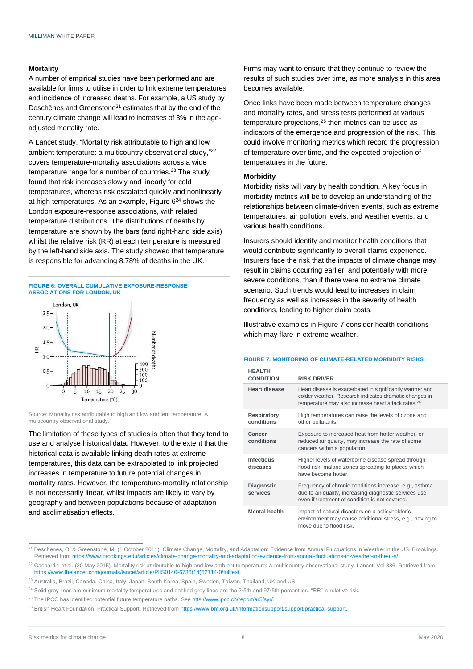#### **Mortality**

A number of empirical studies have been performed and are available for firms to utilise in order to link extreme temperatures and incidence of increased deaths. For example, a US study by Deschênes and Greenstone<sup>21</sup> estimates that by the end of the century climate change will lead to increases of 3% in the ageadjusted mortality rate.

A Lancet study, "Mortality risk attributable to high and low ambient temperature: a multicountry observational study,"<sup>22</sup> covers temperature-mortality associations across a wide temperature range for a number of countries. <sup>23</sup> The study found that risk increases slowly and linearly for cold temperatures, whereas risk escalated quickly and nonlinearly at high temperatures. As an example, Figure 6<sup>24</sup> shows the London exposure-response associations, with related temperature distributions. The distributions of deaths by temperature are shown by the bars (and right-hand side axis) whilst the relative risk (RR) at each temperature is measured by the left-hand side axis. The study showed that temperature is responsible for advancing 8.78% of deaths in the UK.





Source: Mortality risk attributable to high and low ambient temperature: A multicountry observational study.

The limitation of these types of studies is often that they tend to use and analyse historical data. However, to the extent that the historical data is available linking death rates at extreme temperatures, this data can be extrapolated to link projected increases in temperature to future potential changes in mortality rates. However, the temperature-mortality relationship is not necessarily linear, whilst impacts are likely to vary by geography and between populations because of adaptation and acclimatisation effects.

Firms may want to ensure that they continue to review the results of such studies over time, as more analysis in this area becomes available.

Once links have been made between temperature changes and mortality rates, and stress tests performed at various temperature projections, <sup>25</sup> then metrics can be used as indicators of the emergence and progression of the risk. This could involve monitoring metrics which record the progression of temperature over time, and the expected projection of temperatures in the future.

### **Morbidity**

Morbidity risks will vary by health condition. A key focus in morbidity metrics will be to develop an understanding of the relationships between climate-driven events, such as extreme temperatures, air pollution levels, and weather events, and various health conditions.

Insurers should identify and monitor health conditions that would contribute significantly to overall claims experience. Insurers face the risk that the impacts of climate change may result in claims occurring earlier, and potentially with more severe conditions, than if there were no extreme climate scenario. Such trends would lead to increases in claim frequency as well as increases in the severity of health conditions, leading to higher claim costs.

Illustrative examples in Figure 7 consider health conditions which may flare in extreme weather.

#### **FIGURE 7: MONITORING OF CLIMATE-RELATED MORBIDITY RISKS**

| <b>HEALTH</b><br><b>CONDITION</b> | <b>RISK DRIVER</b>                                                                                                                                                                    |
|-----------------------------------|---------------------------------------------------------------------------------------------------------------------------------------------------------------------------------------|
| Heart disease                     | Heart disease is exacerbated in significantly warmer and<br>colder weather. Research indicates dramatic changes in<br>temperature may also increase heart attack rates. <sup>26</sup> |
| <b>Respiratory</b><br>conditions  | High temperatures can raise the levels of ozone and<br>other pollutants.                                                                                                              |
| Cancer<br>conditions              | Exposure to increased heat from hotter weather, or<br>reduced air quality, may increase the rate of some<br>cancers within a population.                                              |
| Infectious<br>diseases            | Higher levels of waterborne disease spread through<br>flood risk, malaria zones spreading to places which<br>have become hotter                                                       |
| <b>Diagnostic</b><br>services     | Frequency of chronic conditions increase, e.g., asthma<br>due to air quality, increasing diagnostic services use<br>even if treatment of condition is not covered.                    |
| <b>Mental health</b>              | Impact of natural disasters on a policyholder's<br>environment may cause additional stress, e.g., having to<br>move due to flood risk                                                 |

<sup>&</sup>lt;sup>21</sup> Deschenes, O. & Greenstone, M. (1 October 2011). Climate Change, Mortality, and Adaptation: Evidence from Annual Fluctuations in Weather in the US. Brookings. Retrieved from [https://www.brookings.edu/articles/climate-change-mortality-and-adaptation-evidence-from-annual-fluctuations-in-weather-in-the-u-s/.](https://www.brookings.edu/articles/climate-change-mortality-and-adaptation-evidence-from-annual-fluctuations-in-weather-in-the-u-s/)

<sup>&</sup>lt;sup>22</sup> Gasparrini et al. (20 May 2015). Mortality risk attributable to high and low ambient temperature: A multicountry observational study. Lancet; Vol 386. Retrieved from [https://www.thelancet.com/journals/lancet/article/PIIS0140-6736\(14\)62114-0/fulltext.](https://www.thelancet.com/journals/lancet/article/PIIS0140-6736(14)62114-0/fulltext)

<sup>&</sup>lt;sup>23</sup> Australia, Brazil, Canada, China, Italy, Japan, South Korea, Spain, Sweden, Taiwan, Thailand, UK and US.

 $24$  Solid grey lines are minimum mortality temperatures and dashed grey lines are the 2 $\cdot$ 5th and 97 $\cdot$ 5th percentiles. "RR" is relative risk.

<sup>&</sup>lt;sup>25</sup> The IPCC has identified potential future temperature paths. Se[e htts://www.ipcc.ch/report/ar5/syr/.](htts://www.ipcc.ch/report/ar5/syr/)

<sup>&</sup>lt;sup>26</sup> British Heart Foundation. Practical Support. Retrieved from https://www.bhf.org.uk/informationsupport/support/practical-support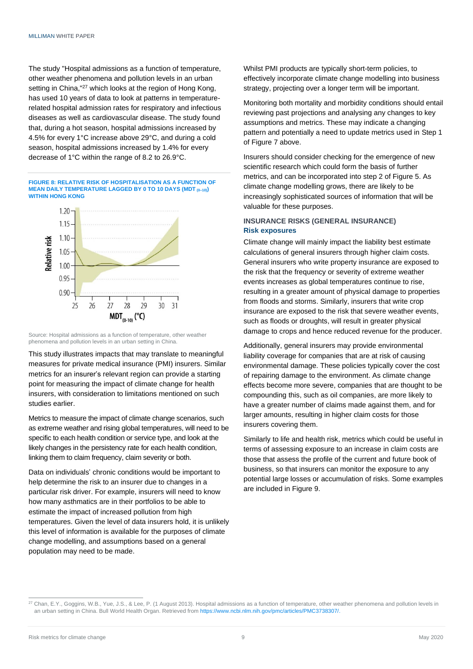The study "Hospital admissions as a function of temperature, other weather phenomena and pollution levels in an urban setting in China,"<sup>27</sup> which looks at the region of Hong Kong, has used 10 years of data to look at patterns in temperaturerelated hospital admission rates for respiratory and infectious diseases as well as cardiovascular disease. The study found that, during a hot season, hospital admissions increased by 4.5% for every 1°C increase above 29°C, and during a cold season, hospital admissions increased by 1.4% for every decrease of 1°C within the range of 8.2 to 26.9°C.

**FIGURE 8: RELATIVE RISK OF HOSPITALISATION AS A FUNCTION OF MEAN DAILY TEMPERATURE LAGGED BY 0 TO 10 DAYS (MDT (0–10)) WITHIN HONG KONG**



Source: Hospital admissions as a function of temperature, other weather phenomena and pollution levels in an urban setting in China.

This study illustrates impacts that may translate to meaningful measures for private medical insurance (PMI) insurers. Similar metrics for an insurer's relevant region can provide a starting point for measuring the impact of climate change for health insurers, with consideration to limitations mentioned on such studies earlier.

Metrics to measure the impact of climate change scenarios, such as extreme weather and rising global temperatures, will need to be specific to each health condition or service type, and look at the likely changes in the persistency rate for each health condition, linking them to claim frequency, claim severity or both.

Data on individuals' chronic conditions would be important to help determine the risk to an insurer due to changes in a particular risk driver. For example, insurers will need to know how many asthmatics are in their portfolios to be able to estimate the impact of increased pollution from high temperatures. Given the level of data insurers hold, it is unlikely this level of information is available for the purposes of climate change modelling, and assumptions based on a general population may need to be made.

Whilst PMI products are typically short-term policies, to effectively incorporate climate change modelling into business strategy, projecting over a longer term will be important.

Monitoring both mortality and morbidity conditions should entail reviewing past projections and analysing any changes to key assumptions and metrics. These may indicate a changing pattern and potentially a need to update metrics used in Step 1 of Figure 7 above.

Insurers should consider checking for the emergence of new scientific research which could form the basis of further metrics, and can be incorporated into step 2 of Figure 5. As climate change modelling grows, there are likely to be increasingly sophisticated sources of information that will be valuable for these purposes.

## **INSURANCE RISKS (GENERAL INSURANCE) Risk exposures**

Climate change will mainly impact the liability best estimate calculations of general insurers through higher claim costs. General insurers who write property insurance are exposed to the risk that the frequency or severity of extreme weather events increases as global temperatures continue to rise, resulting in a greater amount of physical damage to properties from floods and storms. Similarly, insurers that write crop insurance are exposed to the risk that severe weather events, such as floods or droughts, will result in greater physical damage to crops and hence reduced revenue for the producer.

Additionally, general insurers may provide environmental liability coverage for companies that are at risk of causing environmental damage. These policies typically cover the cost of repairing damage to the environment. As climate change effects become more severe, companies that are thought to be compounding this, such as oil companies, are more likely to have a greater number of claims made against them, and for larger amounts, resulting in higher claim costs for those insurers covering them.

Similarly to life and health risk, metrics which could be useful in terms of assessing exposure to an increase in claim costs are those that assess the profile of the current and future book of business, so that insurers can monitor the exposure to any potential large losses or accumulation of risks. Some examples are included in Figure 9.

<sup>&</sup>lt;sup>27</sup> Chan, E.Y., Goggins, W.B., Yue, J.S., & Lee, P. (1 August 2013). Hospital admissions as a function of temperature, other weather phenomena and pollution levels in an urban setting in China. Bull World Health Organ. Retrieved fro[m https://www.ncbi.nlm.nih.gov/pmc/articles/PMC3738307/.](https://www.ncbi.nlm.nih.gov/pmc/articles/PMC3738307/)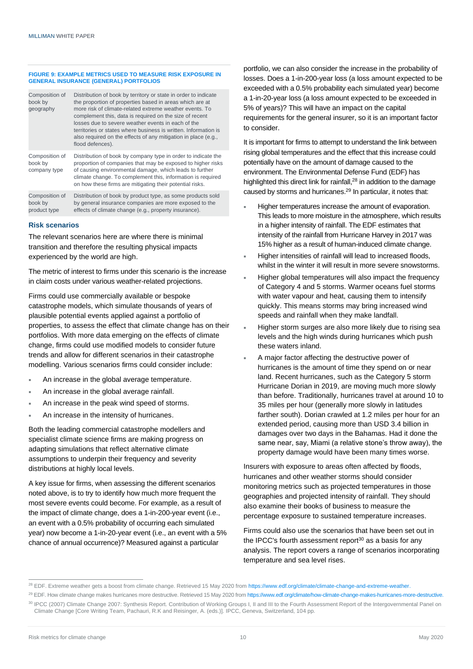#### **FIGURE 9: EXAMPLE METRICS USED TO MEASURE RISK EXPOSURE IN GENERAL INSURANCE (GENERAL) PORTFOLIOS**

| Composition of<br>book by<br>geography    | Distribution of book by territory or state in order to indicate<br>the proportion of properties based in areas which are at<br>more risk of climate-related extreme weather events. To<br>complement this, data is required on the size of recent<br>losses due to severe weather events in each of the<br>territories or states where business is written. Information is<br>also required on the effects of any mitigation in place (e.g.,<br>flood defences). |
|-------------------------------------------|------------------------------------------------------------------------------------------------------------------------------------------------------------------------------------------------------------------------------------------------------------------------------------------------------------------------------------------------------------------------------------------------------------------------------------------------------------------|
| Composition of<br>book by<br>company type | Distribution of book by company type in order to indicate the<br>proportion of companies that may be exposed to higher risks<br>of causing environmental damage, which leads to further<br>climate change. To complement this, information is required<br>on how these firms are mitigating their potential risks.                                                                                                                                               |
| Composition of<br>book by<br>product type | Distribution of book by product type, as some products sold<br>by general insurance companies are more exposed to the<br>effects of climate change (e.g., property insurance).                                                                                                                                                                                                                                                                                   |

#### **Risk scenarios**

The relevant scenarios here are where there is minimal transition and therefore the resulting physical impacts experienced by the world are high.

The metric of interest to firms under this scenario is the increase in claim costs under various weather-related projections.

Firms could use commercially available or bespoke catastrophe models, which simulate thousands of years of plausible potential events applied against a portfolio of properties, to assess the effect that climate change has on their portfolios. With more data emerging on the effects of climate change, firms could use modified models to consider future trends and allow for different scenarios in their catastrophe modelling. Various scenarios firms could consider include:

- An increase in the global average temperature.
- An increase in the global average rainfall.
- An increase in the peak wind speed of storms.
- An increase in the intensity of hurricanes.

Both the leading commercial catastrophe modellers and specialist climate science firms are making progress on adapting simulations that reflect alternative climate assumptions to underpin their frequency and severity distributions at highly local levels.

A key issue for firms, when assessing the different scenarios noted above, is to try to identify how much more frequent the most severe events could become. For example, as a result of the impact of climate change, does a 1-in-200-year event (i.e., an event with a 0.5% probability of occurring each simulated year) now become a 1-in-20-year event (i.e., an event with a 5% chance of annual occurrence)? Measured against a particular

portfolio, we can also consider the increase in the probability of losses. Does a 1-in-200-year loss (a loss amount expected to be exceeded with a 0.5% probability each simulated year) become a 1-in-20-year loss (a loss amount expected to be exceeded in 5% of years)? This will have an impact on the capital requirements for the general insurer, so it is an important factor to consider.

It is important for firms to attempt to understand the link between rising global temperatures and the effect that this increase could potentially have on the amount of damage caused to the environment. The Environmental Defense Fund (EDF) has highlighted this direct link for rainfall,<sup>28</sup> in addition to the damage caused by storms and hurricanes. <sup>29</sup> In particular, it notes that:

- Higher temperatures increase the amount of evaporation. This leads to more moisture in the atmosphere, which results in a higher intensity of rainfall. The EDF estimates that intensity of the rainfall from Hurricane Harvey in 2017 was 15% higher as a result of human-induced climate change.
- Higher intensities of rainfall will lead to increased floods, whilst in the winter it will result in more severe snowstorms.
- Higher global temperatures will also impact the frequency of Category 4 and 5 storms. Warmer oceans fuel storms with water vapour and heat, causing them to intensify quickly. This means storms may bring increased wind speeds and rainfall when they make landfall.
- Higher storm surges are also more likely due to rising sea levels and the high winds during hurricanes which push these waters inland.
- A major factor affecting the destructive power of hurricanes is the amount of time they spend on or near land. Recent hurricanes, such as the Category 5 storm Hurricane Dorian in 2019, are moving much more slowly than before. Traditionally, hurricanes travel at around 10 to 35 miles per hour (generally more slowly in latitudes farther south). Dorian crawled at 1.2 miles per hour for an extended period, causing more than USD 3.4 billion in damages over two days in the Bahamas. Had it done the same near, say, Miami (a relative stone's throw away), the property damage would have been many times worse.

Insurers with exposure to areas often affected by floods, hurricanes and other weather storms should consider monitoring metrics such as projected temperatures in those geographies and projected intensity of rainfall. They should also examine their books of business to measure the percentage exposure to sustained temperature increases.

Firms could also use the scenarios that have been set out in the IPCC's fourth assessment report $30$  as a basis for any analysis. The report covers a range of scenarios incorporating temperature and sea level rises.

<sup>&</sup>lt;sup>28</sup> EDF. Extreme weather gets a boost from climate change. Retrieved 15 May 2020 from [https://www.edf.org/climate/climate-change-and-extreme-weather.](https://www.edf.org/climate/climate-change-and-extreme-weather)

<sup>&</sup>lt;sup>29</sup> EDF. How climate change makes hurricanes more destructive. Retrieved 15 May 2020 from https://www.edf.org/climate/how-climate-change-makes-hurricanes-more-destructive.

<sup>30</sup> IPCC (2007) Climate Change 2007: Synthesis Report. Contribution of Working Groups I, II and III to the Fourth Assessment Report of the Intergovernmental Panel on Climate Change [Core Writing Team, Pachauri, R.K and Reisinger, A. (eds.)]. IPCC, Geneva, Switzerland, 104 pp.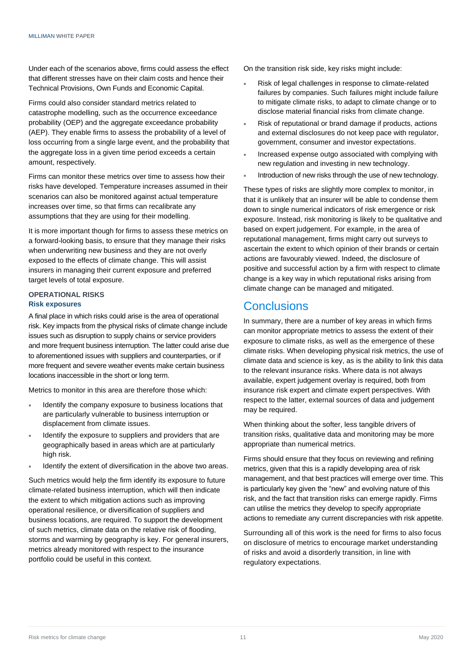Under each of the scenarios above, firms could assess the effect that different stresses have on their claim costs and hence their Technical Provisions, Own Funds and Economic Capital.

Firms could also consider standard metrics related to catastrophe modelling, such as the occurrence exceedance probability (OEP) and the aggregate exceedance probability (AEP). They enable firms to assess the probability of a level of loss occurring from a single large event, and the probability that the aggregate loss in a given time period exceeds a certain amount, respectively.

Firms can monitor these metrics over time to assess how their risks have developed. Temperature increases assumed in their scenarios can also be monitored against actual temperature increases over time, so that firms can recalibrate any assumptions that they are using for their modelling.

It is more important though for firms to assess these metrics on a forward-looking basis, to ensure that they manage their risks when underwriting new business and they are not overly exposed to the effects of climate change. This will assist insurers in managing their current exposure and preferred target levels of total exposure.

## **OPERATIONAL RISKS Risk exposures**

A final place in which risks could arise is the area of operational risk. Key impacts from the physical risks of climate change include issues such as disruption to supply chains or service providers and more frequent business interruption. The latter could arise due to aforementioned issues with suppliers and counterparties, or if more frequent and severe weather events make certain business locations inaccessible in the short or long term.

Metrics to monitor in this area are therefore those which:

- Identify the company exposure to business locations that are particularly vulnerable to business interruption or displacement from climate issues.
- Identify the exposure to suppliers and providers that are geographically based in areas which are at particularly high risk.
- Identify the extent of diversification in the above two areas.

Such metrics would help the firm identify its exposure to future climate-related business interruption, which will then indicate the extent to which mitigation actions such as improving operational resilience, or diversification of suppliers and business locations, are required. To support the development of such metrics, climate data on the relative risk of flooding, storms and warming by geography is key. For general insurers, metrics already monitored with respect to the insurance portfolio could be useful in this context.

On the transition risk side, key risks might include:

- Risk of legal challenges in response to climate-related failures by companies. Such failures might include failure to mitigate climate risks, to adapt to climate change or to disclose material financial risks from climate change.
- Risk of reputational or brand damage if products, actions and external disclosures do not keep pace with regulator, government, consumer and investor expectations.
- Increased expense outgo associated with complying with new regulation and investing in new technology.
- Introduction of new risks through the use of new technology.

These types of risks are slightly more complex to monitor, in that it is unlikely that an insurer will be able to condense them down to single numerical indicators of risk emergence or risk exposure. Instead, risk monitoring is likely to be qualitative and based on expert judgement. For example, in the area of reputational management, firms might carry out surveys to ascertain the extent to which opinion of their brands or certain actions are favourably viewed. Indeed, the disclosure of positive and successful action by a firm with respect to climate change is a key way in which reputational risks arising from climate change can be managed and mitigated.

## **Conclusions**

In summary, there are a number of key areas in which firms can monitor appropriate metrics to assess the extent of their exposure to climate risks, as well as the emergence of these climate risks. When developing physical risk metrics, the use of climate data and science is key, as is the ability to link this data to the relevant insurance risks. Where data is not always available, expert judgement overlay is required, both from insurance risk expert and climate expert perspectives. With respect to the latter, external sources of data and judgement may be required.

When thinking about the softer, less tangible drivers of transition risks, qualitative data and monitoring may be more appropriate than numerical metrics.

Firms should ensure that they focus on reviewing and refining metrics, given that this is a rapidly developing area of risk management, and that best practices will emerge over time. This is particularly key given the "new" and evolving nature of this risk, and the fact that transition risks can emerge rapidly. Firms can utilise the metrics they develop to specify appropriate actions to remediate any current discrepancies with risk appetite.

Surrounding all of this work is the need for firms to also focus on disclosure of metrics to encourage market understanding of risks and avoid a disorderly transition, in line with regulatory expectations.